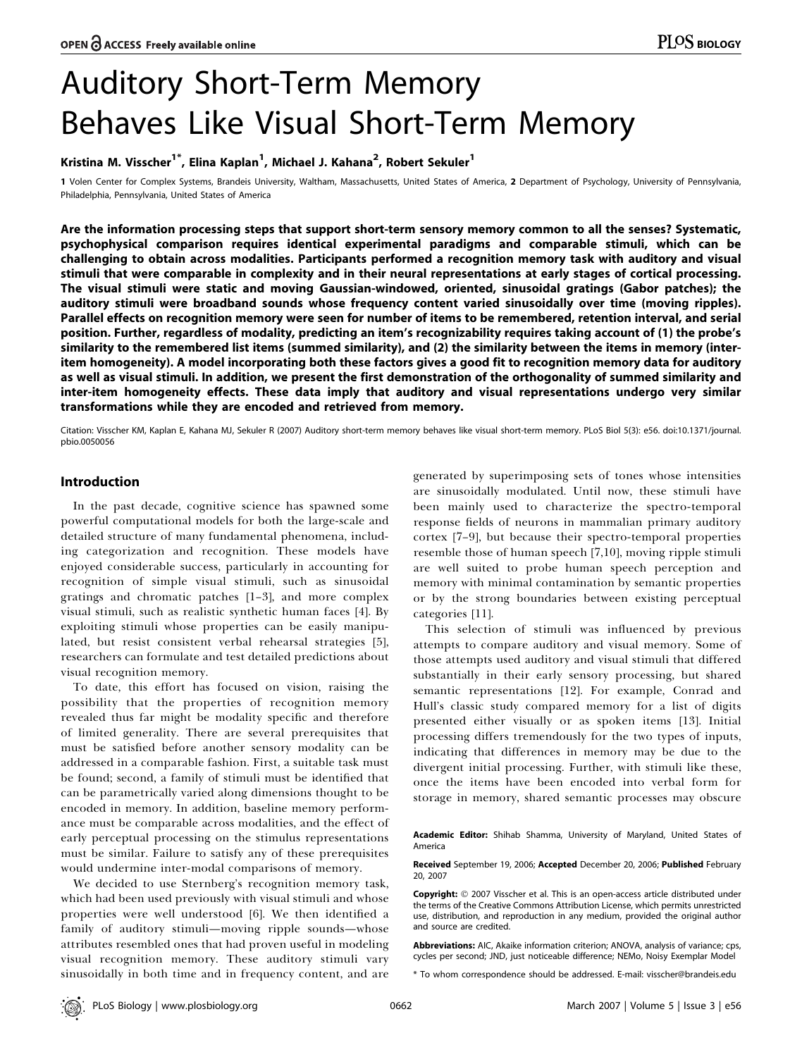# Auditory Short-Term Memory Behaves Like Visual Short-Term Memory

## Kristina M. Visscher<sup>1\*</sup>, Elina Kaplan<sup>1</sup>, Michael J. Kahana<sup>2</sup>, Robert Sekuler<sup>1</sup>

1 Volen Center for Complex Systems, Brandeis University, Waltham, Massachusetts, United States of America, 2 Department of Psychology, University of Pennsylvania, Philadelphia, Pennsylvania, United States of America

Are the information processing steps that support short-term sensory memory common to all the senses? Systematic, psychophysical comparison requires identical experimental paradigms and comparable stimuli, which can be challenging to obtain across modalities. Participants performed a recognition memory task with auditory and visual stimuli that were comparable in complexity and in their neural representations at early stages of cortical processing. The visual stimuli were static and moving Gaussian-windowed, oriented, sinusoidal gratings (Gabor patches); the auditory stimuli were broadband sounds whose frequency content varied sinusoidally over time (moving ripples). Parallel effects on recognition memory were seen for number of items to be remembered, retention interval, and serial position. Further, regardless of modality, predicting an item's recognizability requires taking account of (1) the probe's similarity to the remembered list items (summed similarity), and (2) the similarity between the items in memory (interitem homogeneity). A model incorporating both these factors gives a good fit to recognition memory data for auditory as well as visual stimuli. In addition, we present the first demonstration of the orthogonality of summed similarity and inter-item homogeneity effects. These data imply that auditory and visual representations undergo very similar transformations while they are encoded and retrieved from memory.

Citation: Visscher KM, Kaplan E, Kahana MJ, Sekuler R (2007) Auditory short-term memory behaves like visual short-term memory. PLoS Biol 5(3): e56. doi:10.1371/journal. pbio.0050056

## Introduction

In the past decade, cognitive science has spawned some powerful computational models for both the large-scale and detailed structure of many fundamental phenomena, including categorization and recognition. These models have enjoyed considerable success, particularly in accounting for recognition of simple visual stimuli, such as sinusoidal gratings and chromatic patches [1–3], and more complex visual stimuli, such as realistic synthetic human faces [4]. By exploiting stimuli whose properties can be easily manipulated, but resist consistent verbal rehearsal strategies [5], researchers can formulate and test detailed predictions about visual recognition memory.

To date, this effort has focused on vision, raising the possibility that the properties of recognition memory revealed thus far might be modality specific and therefore of limited generality. There are several prerequisites that must be satisfied before another sensory modality can be addressed in a comparable fashion. First, a suitable task must be found; second, a family of stimuli must be identified that can be parametrically varied along dimensions thought to be encoded in memory. In addition, baseline memory performance must be comparable across modalities, and the effect of early perceptual processing on the stimulus representations must be similar. Failure to satisfy any of these prerequisites would undermine inter-modal comparisons of memory.

We decided to use Sternberg's recognition memory task, which had been used previously with visual stimuli and whose properties were well understood [6]. We then identified a family of auditory stimuli—moving ripple sounds—whose attributes resembled ones that had proven useful in modeling visual recognition memory. These auditory stimuli vary sinusoidally in both time and in frequency content, and are generated by superimposing sets of tones whose intensities are sinusoidally modulated. Until now, these stimuli have been mainly used to characterize the spectro-temporal response fields of neurons in mammalian primary auditory cortex [7–9], but because their spectro-temporal properties resemble those of human speech [7,10], moving ripple stimuli are well suited to probe human speech perception and memory with minimal contamination by semantic properties or by the strong boundaries between existing perceptual categories [11].

This selection of stimuli was influenced by previous attempts to compare auditory and visual memory. Some of those attempts used auditory and visual stimuli that differed substantially in their early sensory processing, but shared semantic representations [12]. For example, Conrad and Hull's classic study compared memory for a list of digits presented either visually or as spoken items [13]. Initial processing differs tremendously for the two types of inputs, indicating that differences in memory may be due to the divergent initial processing. Further, with stimuli like these, once the items have been encoded into verbal form for storage in memory, shared semantic processes may obscure

Academic Editor: Shihab Shamma, University of Maryland, United States of America

Received September 19, 2006; Accepted December 20, 2006; Published February 20, 2007

Copyright: © 2007 Visscher et al. This is an open-access article distributed under the terms of the Creative Commons Attribution License, which permits unrestricted use, distribution, and reproduction in any medium, provided the original author and source are credited.

Abbreviations: AIC, Akaike information criterion; ANOVA, analysis of variance; cps, cycles per second; JND, just noticeable difference; NEMo, Noisy Exemplar Model

\* To whom correspondence should be addressed. E-mail: visscher@brandeis.edu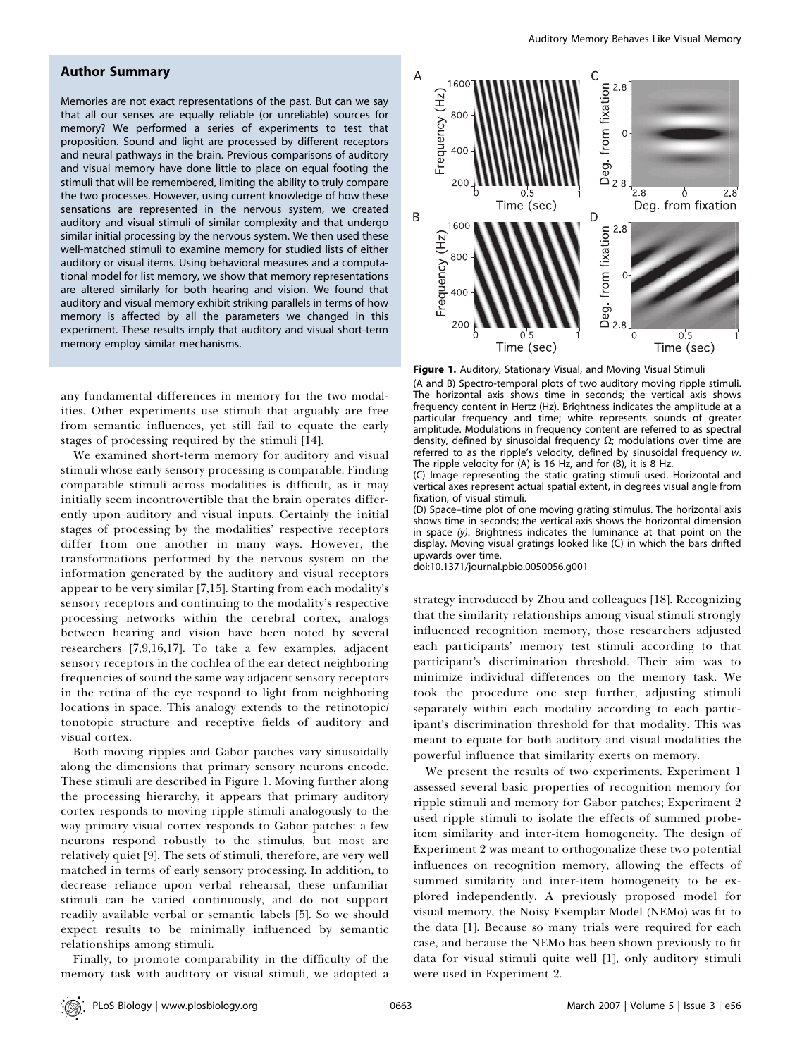## Author Summary

Memories are not exact representations of the past. But can we say that all our senses are equally reliable (or unreliable) sources for memory? We performed a series of experiments to test that proposition. Sound and light are processed by different receptors and neural pathways in the brain. Previous comparisons of auditory and visual memory have done little to place on equal footing the stimuli that will be remembered, limiting the ability to truly compare the two processes. However, using current knowledge of how these sensations are represented in the nervous system, we created auditory and visual stimuli of similar complexity and that undergo similar initial processing by the nervous system. We then used these well-matched stimuli to examine memory for studied lists of either auditory or visual items. Using behavioral measures and a computational model for list memory, we show that memory representations are altered similarly for both hearing and vision. We found that auditory and visual memory exhibit striking parallels in terms of how memory is affected by all the parameters we changed in this experiment. These results imply that auditory and visual short-term memory employ similar mechanisms.

any fundamental differences in memory for the two modalities. Other experiments use stimuli that arguably are free from semantic influences, yet still fail to equate the early stages of processing required by the stimuli [14].

We examined short-term memory for auditory and visual stimuli whose early sensory processing is comparable. Finding comparable stimuli across modalities is difficult, as it may initially seem incontrovertible that the brain operates differently upon auditory and visual inputs. Certainly the initial stages of processing by the modalities' respective receptors differ from one another in many ways. However, the transformations performed by the nervous system on the information generated by the auditory and visual receptors appear to be very similar [7,15]. Starting from each modality's sensory receptors and continuing to the modality's respective processing networks within the cerebral cortex, analogs between hearing and vision have been noted by several researchers [7,9,16,17]. To take a few examples, adjacent sensory receptors in the cochlea of the ear detect neighboring frequencies of sound the same way adjacent sensory receptors in the retina of the eye respond to light from neighboring locations in space. This analogy extends to the retinotopic/ tonotopic structure and receptive fields of auditory and visual cortex.

Both moving ripples and Gabor patches vary sinusoidally along the dimensions that primary sensory neurons encode. These stimuli are described in Figure 1. Moving further along the processing hierarchy, it appears that primary auditory cortex responds to moving ripple stimuli analogously to the way primary visual cortex responds to Gabor patches: a few neurons respond robustly to the stimulus, but most are relatively quiet [9]. The sets of stimuli, therefore, are very well matched in terms of early sensory processing. In addition, to decrease reliance upon verbal rehearsal, these unfamiliar stimuli can be varied continuously, and do not support readily available verbal or semantic labels [5]. So we should expect results to be minimally influenced by semantic relationships among stimuli.

Finally, to promote comparability in the difficulty of the memory task with auditory or visual stimuli, we adopted a



Figure 1. Auditory, Stationary Visual, and Moving Visual Stimuli

(A and B) Spectro-temporal plots of two auditory moving ripple stimuli. The horizontal axis shows time in seconds; the vertical axis shows frequency content in Hertz (Hz). Brightness indicates the amplitude at a particular frequency and time; white represents sounds of greater amplitude. Modulations in frequency content are referred to as spectral density, defined by sinusoidal frequency  $\Omega$ ; modulations over time are referred to as the ripple's velocity, defined by sinusoidal frequency w. The ripple velocity for (A) is 16 Hz, and for (B), it is 8 Hz.

(C) Image representing the static grating stimuli used. Horizontal and vertical axes represent actual spatial extent, in degrees visual angle from fixation, of visual stimuli.

(D) Space–time plot of one moving grating stimulus. The horizontal axis shows time in seconds; the vertical axis shows the horizontal dimension in space (y). Brightness indicates the luminance at that point on the display. Moving visual gratings looked like (C) in which the bars drifted upwards over time.

doi:10.1371/journal.pbio.0050056.g001

strategy introduced by Zhou and colleagues [18]. Recognizing that the similarity relationships among visual stimuli strongly influenced recognition memory, those researchers adjusted each participants' memory test stimuli according to that participant's discrimination threshold. Their aim was to minimize individual differences on the memory task. We took the procedure one step further, adjusting stimuli separately within each modality according to each participant's discrimination threshold for that modality. This was meant to equate for both auditory and visual modalities the powerful influence that similarity exerts on memory.

We present the results of two experiments. Experiment 1 assessed several basic properties of recognition memory for ripple stimuli and memory for Gabor patches; Experiment 2 used ripple stimuli to isolate the effects of summed probeitem similarity and inter-item homogeneity. The design of Experiment 2 was meant to orthogonalize these two potential influences on recognition memory, allowing the effects of summed similarity and inter-item homogeneity to be explored independently. A previously proposed model for visual memory, the Noisy Exemplar Model (NEMo) was fit to the data [1]. Because so many trials were required for each case, and because the NEMo has been shown previously to fit data for visual stimuli quite well [1], only auditory stimuli were used in Experiment 2.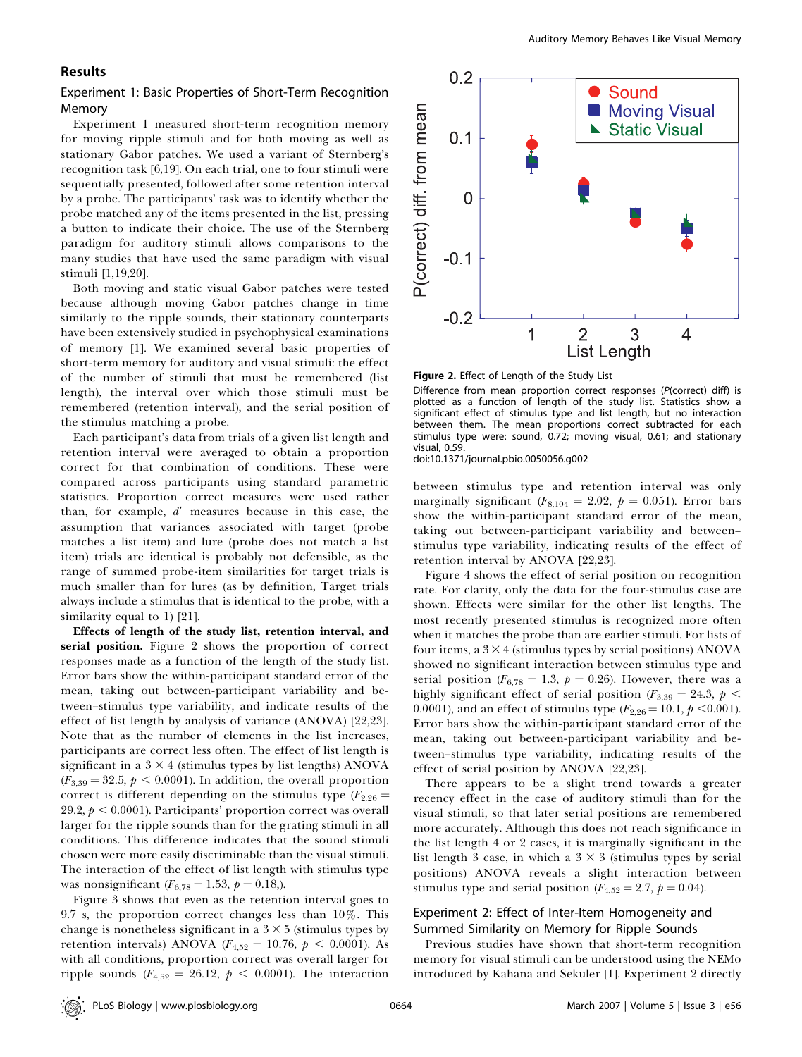## Results

## Experiment 1: Basic Properties of Short-Term Recognition Memory

Experiment 1 measured short-term recognition memory for moving ripple stimuli and for both moving as well as stationary Gabor patches. We used a variant of Sternberg's recognition task [6,19]. On each trial, one to four stimuli were sequentially presented, followed after some retention interval by a probe. The participants' task was to identify whether the probe matched any of the items presented in the list, pressing a button to indicate their choice. The use of the Sternberg paradigm for auditory stimuli allows comparisons to the many studies that have used the same paradigm with visual stimuli [1,19,20].

Both moving and static visual Gabor patches were tested because although moving Gabor patches change in time similarly to the ripple sounds, their stationary counterparts have been extensively studied in psychophysical examinations of memory [1]. We examined several basic properties of short-term memory for auditory and visual stimuli: the effect of the number of stimuli that must be remembered (list length), the interval over which those stimuli must be remembered (retention interval), and the serial position of the stimulus matching a probe.

Each participant's data from trials of a given list length and retention interval were averaged to obtain a proportion correct for that combination of conditions. These were compared across participants using standard parametric statistics. Proportion correct measures were used rather than, for example,  $d'$  measures because in this case, the assumption that variances associated with target (probe matches a list item) and lure (probe does not match a list item) trials are identical is probably not defensible, as the range of summed probe-item similarities for target trials is much smaller than for lures (as by definition, Target trials always include a stimulus that is identical to the probe, with a similarity equal to 1) [21].

Effects of length of the study list, retention interval, and serial position. Figure 2 shows the proportion of correct responses made as a function of the length of the study list. Error bars show the within-participant standard error of the mean, taking out between-participant variability and between–stimulus type variability, and indicate results of the effect of list length by analysis of variance (ANOVA) [22,23]. Note that as the number of elements in the list increases, participants are correct less often. The effect of list length is significant in a  $3 \times 4$  (stimulus types by list lengths) ANOVA  $(F_{3,39} = 32.5, p \le 0.0001)$ . In addition, the overall proportion correct is different depending on the stimulus type  $(F_{2,26} =$ 29.2,  $p < 0.0001$ ). Participants' proportion correct was overall larger for the ripple sounds than for the grating stimuli in all conditions. This difference indicates that the sound stimuli chosen were more easily discriminable than the visual stimuli. The interaction of the effect of list length with stimulus type was nonsignificant ( $F_{6,78} = 1.53, p = 0.18$ ).

Figure 3 shows that even as the retention interval goes to 9.7 s, the proportion correct changes less than 10%. This change is nonetheless significant in a  $3 \times 5$  (stimulus types by retention intervals) ANOVA ( $F_{4,52} = 10.76$ ,  $p < 0.0001$ ). As with all conditions, proportion correct was overall larger for ripple sounds ( $F_{4,52} = 26.12$ ,  $p < 0.0001$ ). The interaction



Figure 2. Effect of Length of the Study List

Difference from mean proportion correct responses (P(correct) diff) is plotted as a function of length of the study list. Statistics show a significant effect of stimulus type and list length, but no interaction between them. The mean proportions correct subtracted for each stimulus type were: sound, 0.72; moving visual, 0.61; and stationary visual, 0.59.

doi:10.1371/journal.pbio.0050056.g002

between stimulus type and retention interval was only marginally significant ( $F_{8,104} = 2.02$ ,  $p = 0.051$ ). Error bars show the within-participant standard error of the mean, taking out between-participant variability and between– stimulus type variability, indicating results of the effect of retention interval by ANOVA [22,23].

Figure 4 shows the effect of serial position on recognition rate. For clarity, only the data for the four-stimulus case are shown. Effects were similar for the other list lengths. The most recently presented stimulus is recognized more often when it matches the probe than are earlier stimuli. For lists of four items, a  $3 \times 4$  (stimulus types by serial positions) ANOVA showed no significant interaction between stimulus type and serial position ( $F_{6,78} = 1.3$ ,  $p = 0.26$ ). However, there was a highly significant effect of serial position ( $F_{3,39} = 24.3$ ,  $p <$ 0.0001), and an effect of stimulus type  $(F_{2,26} = 10.1, p \le 0.001)$ . Error bars show the within-participant standard error of the mean, taking out between-participant variability and between–stimulus type variability, indicating results of the effect of serial position by ANOVA [22,23].

There appears to be a slight trend towards a greater recency effect in the case of auditory stimuli than for the visual stimuli, so that later serial positions are remembered more accurately. Although this does not reach significance in the list length 4 or 2 cases, it is marginally significant in the list length 3 case, in which a  $3 \times 3$  (stimulus types by serial positions) ANOVA reveals a slight interaction between stimulus type and serial position ( $F_{4,52} = 2.7$ ,  $p = 0.04$ ).

## Experiment 2: Effect of Inter-Item Homogeneity and Summed Similarity on Memory for Ripple Sounds

Previous studies have shown that short-term recognition memory for visual stimuli can be understood using the NEMo introduced by Kahana and Sekuler [1]. Experiment 2 directly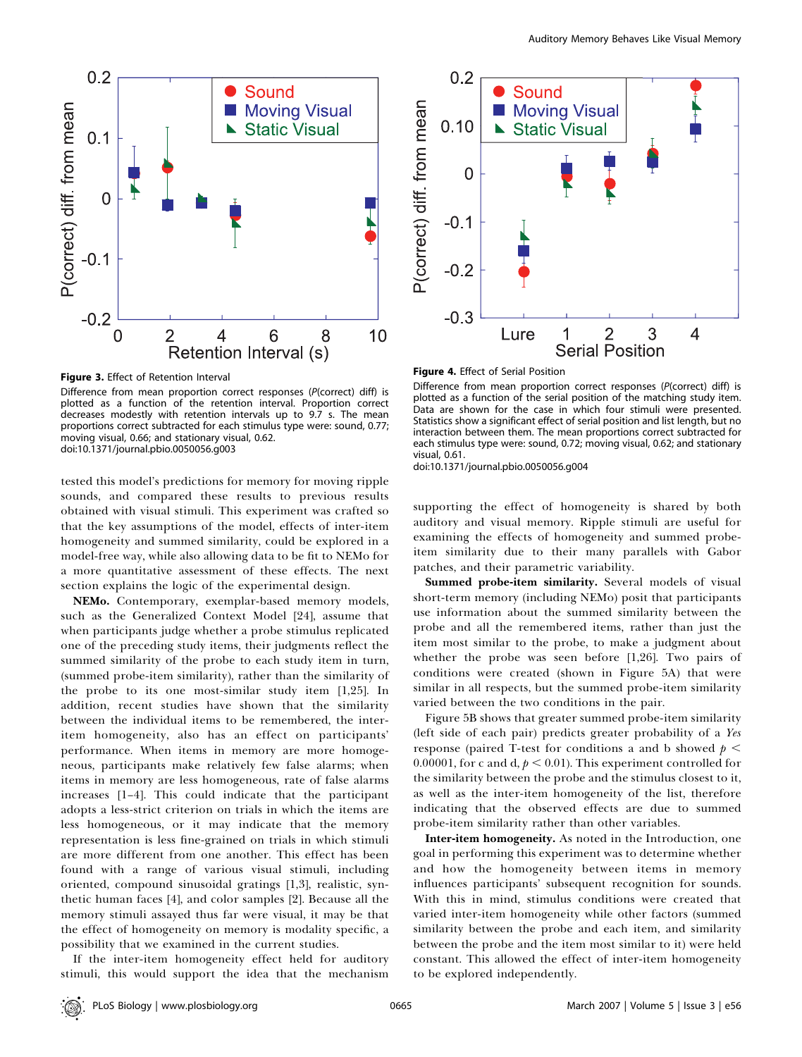

Figure 3. Effect of Retention Interval

Difference from mean proportion correct responses (P(correct) diff) is plotted as a function of the retention interval. Proportion correct decreases modestly with retention intervals up to 9.7 s. The mean proportions correct subtracted for each stimulus type were: sound, 0.77; moving visual, 0.66; and stationary visual, 0.62. doi:10.1371/journal.pbio.0050056.g003

tested this model's predictions for memory for moving ripple sounds, and compared these results to previous results obtained with visual stimuli. This experiment was crafted so that the key assumptions of the model, effects of inter-item homogeneity and summed similarity, could be explored in a model-free way, while also allowing data to be fit to NEMo for a more quantitative assessment of these effects. The next

section explains the logic of the experimental design. NEMo. Contemporary, exemplar-based memory models, such as the Generalized Context Model [24], assume that when participants judge whether a probe stimulus replicated one of the preceding study items, their judgments reflect the summed similarity of the probe to each study item in turn, (summed probe-item similarity), rather than the similarity of the probe to its one most-similar study item [1,25]. In addition, recent studies have shown that the similarity between the individual items to be remembered, the interitem homogeneity, also has an effect on participants' performance. When items in memory are more homogeneous, participants make relatively few false alarms; when items in memory are less homogeneous, rate of false alarms increases [1–4]. This could indicate that the participant adopts a less-strict criterion on trials in which the items are less homogeneous, or it may indicate that the memory representation is less fine-grained on trials in which stimuli are more different from one another. This effect has been found with a range of various visual stimuli, including oriented, compound sinusoidal gratings [1,3], realistic, synthetic human faces [4], and color samples [2]. Because all the memory stimuli assayed thus far were visual, it may be that the effect of homogeneity on memory is modality specific, a possibility that we examined in the current studies.

If the inter-item homogeneity effect held for auditory stimuli, this would support the idea that the mechanism



Figure 4. Effect of Serial Position

Difference from mean proportion correct responses (P(correct) diff) is plotted as a function of the serial position of the matching study item. Data are shown for the case in which four stimuli were presented. Statistics show a significant effect of serial position and list length, but no interaction between them. The mean proportions correct subtracted for each stimulus type were: sound, 0.72; moving visual, 0.62; and stationary visual, 0.61.

doi:10.1371/journal.pbio.0050056.g004

supporting the effect of homogeneity is shared by both auditory and visual memory. Ripple stimuli are useful for examining the effects of homogeneity and summed probeitem similarity due to their many parallels with Gabor patches, and their parametric variability.

Summed probe-item similarity. Several models of visual short-term memory (including NEMo) posit that participants use information about the summed similarity between the probe and all the remembered items, rather than just the item most similar to the probe, to make a judgment about whether the probe was seen before [1,26]. Two pairs of conditions were created (shown in Figure 5A) that were similar in all respects, but the summed probe-item similarity varied between the two conditions in the pair.

Figure 5B shows that greater summed probe-item similarity (left side of each pair) predicts greater probability of a Yes response (paired T-test for conditions a and b showed  $p <$ 0.00001, for c and d,  $p < 0.01$ ). This experiment controlled for the similarity between the probe and the stimulus closest to it, as well as the inter-item homogeneity of the list, therefore indicating that the observed effects are due to summed probe-item similarity rather than other variables.

Inter-item homogeneity. As noted in the Introduction, one goal in performing this experiment was to determine whether and how the homogeneity between items in memory influences participants' subsequent recognition for sounds. With this in mind, stimulus conditions were created that varied inter-item homogeneity while other factors (summed similarity between the probe and each item, and similarity between the probe and the item most similar to it) were held constant. This allowed the effect of inter-item homogeneity to be explored independently.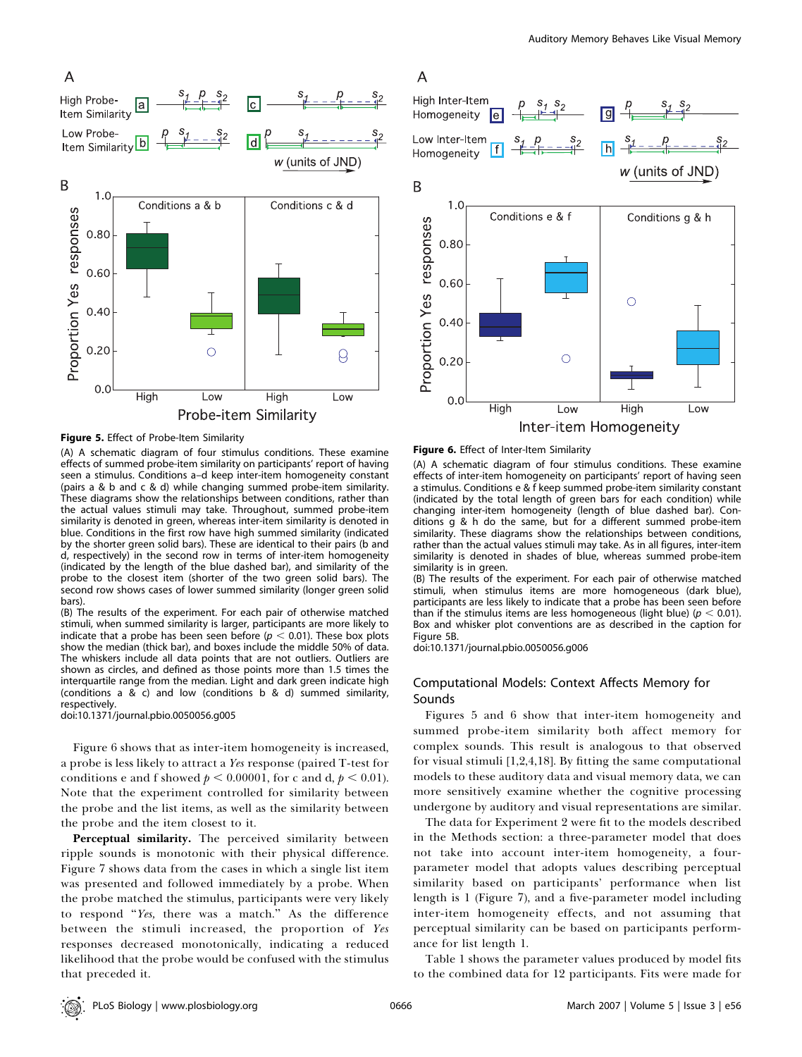

Figure 5. Effect of Probe-Item Similarity

(A) A schematic diagram of four stimulus conditions. These examine effects of summed probe-item similarity on participants' report of having seen a stimulus. Conditions a–d keep inter-item homogeneity constant (pairs a & b and c & d) while changing summed probe-item similarity. These diagrams show the relationships between conditions, rather than the actual values stimuli may take. Throughout, summed probe-item similarity is denoted in green, whereas inter-item similarity is denoted in blue. Conditions in the first row have high summed similarity (indicated by the shorter green solid bars). These are identical to their pairs (b and d, respectively) in the second row in terms of inter-item homogeneity (indicated by the length of the blue dashed bar), and similarity of the probe to the closest item (shorter of the two green solid bars). The second row shows cases of lower summed similarity (longer green solid bars).

(B) The results of the experiment. For each pair of otherwise matched stimuli, when summed similarity is larger, participants are more likely to indicate that a probe has been seen before ( $p < 0.01$ ). These box plots show the median (thick bar), and boxes include the middle 50% of data. The whiskers include all data points that are not outliers. Outliers are shown as circles, and defined as those points more than 1.5 times the interquartile range from the median. Light and dark green indicate high (conditions a & c) and low (conditions b & d) summed similarity, respectively.

doi:10.1371/journal.pbio.0050056.g005

Figure 6 shows that as inter-item homogeneity is increased, a probe is less likely to attract a Yes response (paired T-test for conditions e and f showed  $p < 0.00001$ , for c and d,  $p < 0.01$ ). Note that the experiment controlled for similarity between the probe and the list items, as well as the similarity between the probe and the item closest to it.

Perceptual similarity. The perceived similarity between ripple sounds is monotonic with their physical difference. Figure 7 shows data from the cases in which a single list item was presented and followed immediately by a probe. When the probe matched the stimulus, participants were very likely to respond ''Yes, there was a match.'' As the difference between the stimuli increased, the proportion of Yes responses decreased monotonically, indicating a reduced likelihood that the probe would be confused with the stimulus that preceded it.



#### Figure 6. Effect of Inter-Item Similarity

(A) A schematic diagram of four stimulus conditions. These examine effects of inter-item homogeneity on participants' report of having seen a stimulus. Conditions e & f keep summed probe-item similarity constant (indicated by the total length of green bars for each condition) while changing inter-item homogeneity (length of blue dashed bar). Conditions g & h do the same, but for a different summed probe-item similarity. These diagrams show the relationships between conditions, rather than the actual values stimuli may take. As in all figures, inter-item similarity is denoted in shades of blue, whereas summed probe-item similarity is in green.

(B) The results of the experiment. For each pair of otherwise matched stimuli, when stimulus items are more homogeneous (dark blue), participants are less likely to indicate that a probe has been seen before than if the stimulus items are less homogeneous (light blue) ( $p < 0.01$ ). Box and whisker plot conventions are as described in the caption for Figure 5B.

doi:10.1371/journal.pbio.0050056.g006

## Computational Models: Context Affects Memory for Sounds

Figures 5 and 6 show that inter-item homogeneity and summed probe-item similarity both affect memory for complex sounds. This result is analogous to that observed for visual stimuli [1,2,4,18]. By fitting the same computational models to these auditory data and visual memory data, we can more sensitively examine whether the cognitive processing undergone by auditory and visual representations are similar.

The data for Experiment 2 were fit to the models described in the Methods section: a three-parameter model that does not take into account inter-item homogeneity, a fourparameter model that adopts values describing perceptual similarity based on participants' performance when list length is 1 (Figure 7), and a five-parameter model including inter-item homogeneity effects, and not assuming that perceptual similarity can be based on participants performance for list length 1.

Table 1 shows the parameter values produced by model fits to the combined data for 12 participants. Fits were made for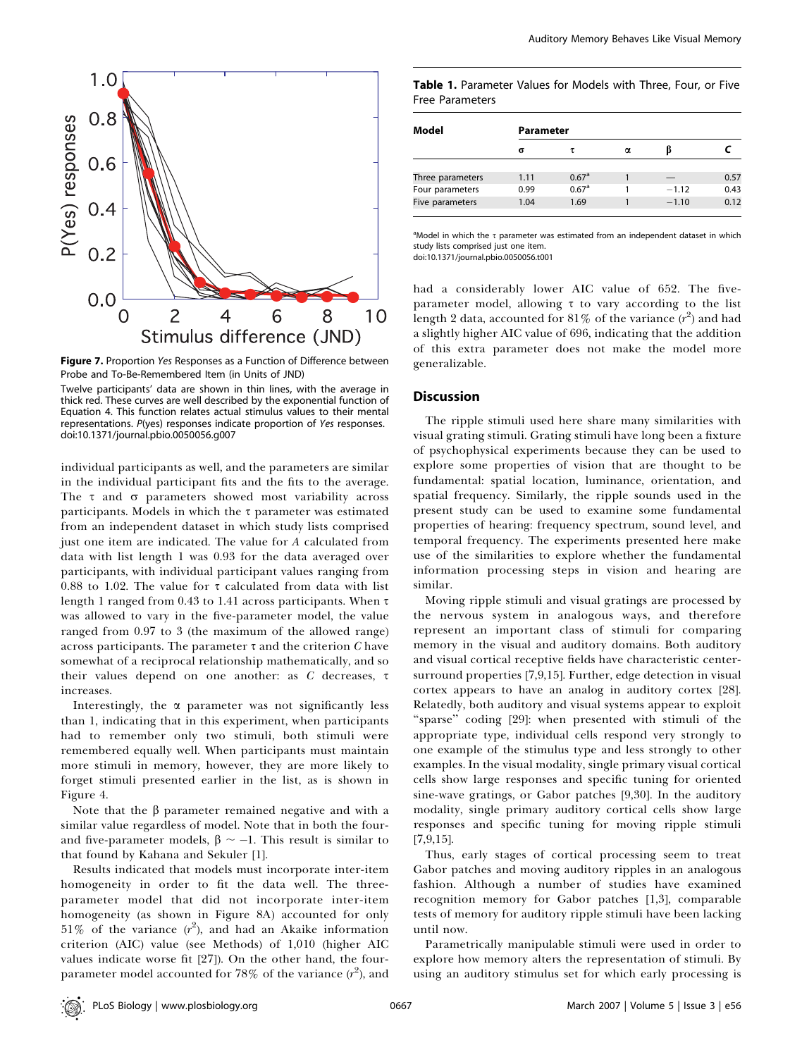

Figure 7. Proportion Yes Responses as a Function of Difference between Probe and To-Be-Remembered Item (in Units of JND)

Twelve participants' data are shown in thin lines, with the average in thick red. These curves are well described by the exponential function of Equation 4. This function relates actual stimulus values to their mental representations. P(yes) responses indicate proportion of Yes responses. doi:10.1371/journal.pbio.0050056.g007

individual participants as well, and the parameters are similar in the individual participant fits and the fits to the average. The  $\tau$  and  $\sigma$  parameters showed most variability across participants. Models in which the  $\tau$  parameter was estimated from an independent dataset in which study lists comprised just one item are indicated. The value for A calculated from data with list length 1 was 0.93 for the data averaged over participants, with individual participant values ranging from 0.88 to 1.02. The value for  $\tau$  calculated from data with list length 1 ranged from 0.43 to 1.41 across participants. When  $\tau$ was allowed to vary in the five-parameter model, the value ranged from 0.97 to 3 (the maximum of the allowed range) across participants. The parameter  $\tau$  and the criterion  $C$  have somewhat of a reciprocal relationship mathematically, and so their values depend on one another: as  $C$  decreases,  $\tau$ increases.

Interestingly, the  $\alpha$  parameter was not significantly less than 1, indicating that in this experiment, when participants had to remember only two stimuli, both stimuli were remembered equally well. When participants must maintain more stimuli in memory, however, they are more likely to forget stimuli presented earlier in the list, as is shown in Figure 4.

Note that the  $\beta$  parameter remained negative and with a similar value regardless of model. Note that in both the fourand five-parameter models,  $\beta \sim -1$ . This result is similar to that found by Kahana and Sekuler [1].

Results indicated that models must incorporate inter-item homogeneity in order to fit the data well. The threeparameter model that did not incorporate inter-item homogeneity (as shown in Figure 8A) accounted for only 51% of the variance  $(r^2)$ , and had an Akaike information criterion (AIC) value (see Methods) of 1,010 (higher AIC values indicate worse fit [27]). On the other hand, the fourparameter model accounted for  $78\%$  of the variance  $(r^2)$ , and

| <b>Table 1.</b> Parameter Values for Models with Three, Four, or Five |  |  |  |
|-----------------------------------------------------------------------|--|--|--|
| <b>Free Parameters</b>                                                |  |  |  |

| Model            | Parameter |                   |   |         |      |  |  |
|------------------|-----------|-------------------|---|---------|------|--|--|
|                  | σ         | τ                 | α |         |      |  |  |
|                  |           |                   |   |         |      |  |  |
| Three parameters | 1.11      | 0.67 <sup>a</sup> |   |         | 0.57 |  |  |
| Four parameters  | 0.99      | 0.67 <sup>a</sup> |   | $-1.12$ | 0.43 |  |  |
| Five parameters  | 1.04      | 1.69              |   | $-1.10$ | 0.12 |  |  |

 $^{\text{a}}$ Model in which the  $\tau$  parameter was estimated from an independent dataset in which study lists comprised just one item. doi:10.1371/journal.pbio.0050056.t001

had a considerably lower AIC value of 652. The fiveparameter model, allowing  $\tau$  to vary according to the list length 2 data, accounted for  $81\%$  of the variance  $(r^2)$  and had a slightly higher AIC value of 696, indicating that the addition of this extra parameter does not make the model more generalizable.

### **Discussion**

The ripple stimuli used here share many similarities with visual grating stimuli. Grating stimuli have long been a fixture of psychophysical experiments because they can be used to explore some properties of vision that are thought to be fundamental: spatial location, luminance, orientation, and spatial frequency. Similarly, the ripple sounds used in the present study can be used to examine some fundamental properties of hearing: frequency spectrum, sound level, and temporal frequency. The experiments presented here make use of the similarities to explore whether the fundamental information processing steps in vision and hearing are similar.

Moving ripple stimuli and visual gratings are processed by the nervous system in analogous ways, and therefore represent an important class of stimuli for comparing memory in the visual and auditory domains. Both auditory and visual cortical receptive fields have characteristic centersurround properties [7,9,15]. Further, edge detection in visual cortex appears to have an analog in auditory cortex [28]. Relatedly, both auditory and visual systems appear to exploit ''sparse'' coding [29]: when presented with stimuli of the appropriate type, individual cells respond very strongly to one example of the stimulus type and less strongly to other examples. In the visual modality, single primary visual cortical cells show large responses and specific tuning for oriented sine-wave gratings, or Gabor patches [9,30]. In the auditory modality, single primary auditory cortical cells show large responses and specific tuning for moving ripple stimuli [7,9,15].

Thus, early stages of cortical processing seem to treat Gabor patches and moving auditory ripples in an analogous fashion. Although a number of studies have examined recognition memory for Gabor patches [1,3], comparable tests of memory for auditory ripple stimuli have been lacking until now.

Parametrically manipulable stimuli were used in order to explore how memory alters the representation of stimuli. By using an auditory stimulus set for which early processing is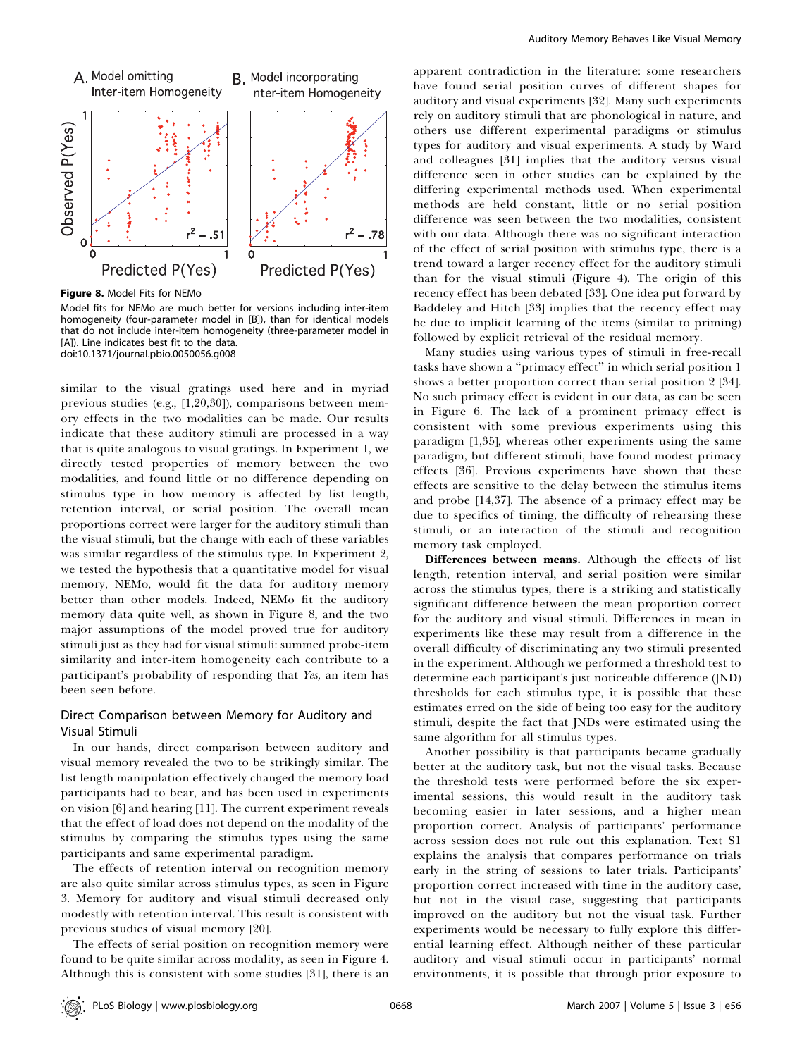

Figure 8. Model Fits for NEMo

Model fits for NEMo are much better for versions including inter-item homogeneity (four-parameter model in [B]), than for identical models that do not include inter-item homogeneity (three-parameter model in [A]). Line indicates best fit to the data. doi:10.1371/journal.pbio.0050056.g008

similar to the visual gratings used here and in myriad previous studies (e.g., [1,20,30]), comparisons between memory effects in the two modalities can be made. Our results indicate that these auditory stimuli are processed in a way that is quite analogous to visual gratings. In Experiment 1, we directly tested properties of memory between the two modalities, and found little or no difference depending on stimulus type in how memory is affected by list length, retention interval, or serial position. The overall mean proportions correct were larger for the auditory stimuli than the visual stimuli, but the change with each of these variables was similar regardless of the stimulus type. In Experiment 2, we tested the hypothesis that a quantitative model for visual memory, NEMo, would fit the data for auditory memory better than other models. Indeed, NEMo fit the auditory memory data quite well, as shown in Figure 8, and the two major assumptions of the model proved true for auditory stimuli just as they had for visual stimuli: summed probe-item similarity and inter-item homogeneity each contribute to a participant's probability of responding that Yes, an item has been seen before.

## Direct Comparison between Memory for Auditory and Visual Stimuli

In our hands, direct comparison between auditory and visual memory revealed the two to be strikingly similar. The list length manipulation effectively changed the memory load participants had to bear, and has been used in experiments on vision [6] and hearing [11]. The current experiment reveals that the effect of load does not depend on the modality of the stimulus by comparing the stimulus types using the same participants and same experimental paradigm.

The effects of retention interval on recognition memory are also quite similar across stimulus types, as seen in Figure 3. Memory for auditory and visual stimuli decreased only modestly with retention interval. This result is consistent with previous studies of visual memory [20].

The effects of serial position on recognition memory were found to be quite similar across modality, as seen in Figure 4. Although this is consistent with some studies [31], there is an

apparent contradiction in the literature: some researchers have found serial position curves of different shapes for auditory and visual experiments [32]. Many such experiments rely on auditory stimuli that are phonological in nature, and others use different experimental paradigms or stimulus types for auditory and visual experiments. A study by Ward and colleagues [31] implies that the auditory versus visual difference seen in other studies can be explained by the differing experimental methods used. When experimental methods are held constant, little or no serial position difference was seen between the two modalities, consistent with our data. Although there was no significant interaction of the effect of serial position with stimulus type, there is a trend toward a larger recency effect for the auditory stimuli than for the visual stimuli (Figure 4). The origin of this recency effect has been debated [33]. One idea put forward by Baddeley and Hitch [33] implies that the recency effect may be due to implicit learning of the items (similar to priming) followed by explicit retrieval of the residual memory.

Many studies using various types of stimuli in free-recall tasks have shown a ''primacy effect'' in which serial position 1 shows a better proportion correct than serial position 2 [34]. No such primacy effect is evident in our data, as can be seen in Figure 6. The lack of a prominent primacy effect is consistent with some previous experiments using this paradigm [1,35], whereas other experiments using the same paradigm, but different stimuli, have found modest primacy effects [36]. Previous experiments have shown that these effects are sensitive to the delay between the stimulus items and probe [14,37]. The absence of a primacy effect may be due to specifics of timing, the difficulty of rehearsing these stimuli, or an interaction of the stimuli and recognition memory task employed.

Differences between means. Although the effects of list length, retention interval, and serial position were similar across the stimulus types, there is a striking and statistically significant difference between the mean proportion correct for the auditory and visual stimuli. Differences in mean in experiments like these may result from a difference in the overall difficulty of discriminating any two stimuli presented in the experiment. Although we performed a threshold test to determine each participant's just noticeable difference (JND) thresholds for each stimulus type, it is possible that these estimates erred on the side of being too easy for the auditory stimuli, despite the fact that JNDs were estimated using the same algorithm for all stimulus types.

Another possibility is that participants became gradually better at the auditory task, but not the visual tasks. Because the threshold tests were performed before the six experimental sessions, this would result in the auditory task becoming easier in later sessions, and a higher mean proportion correct. Analysis of participants' performance across session does not rule out this explanation. Text S1 explains the analysis that compares performance on trials early in the string of sessions to later trials. Participants' proportion correct increased with time in the auditory case, but not in the visual case, suggesting that participants improved on the auditory but not the visual task. Further experiments would be necessary to fully explore this differential learning effect. Although neither of these particular auditory and visual stimuli occur in participants' normal environments, it is possible that through prior exposure to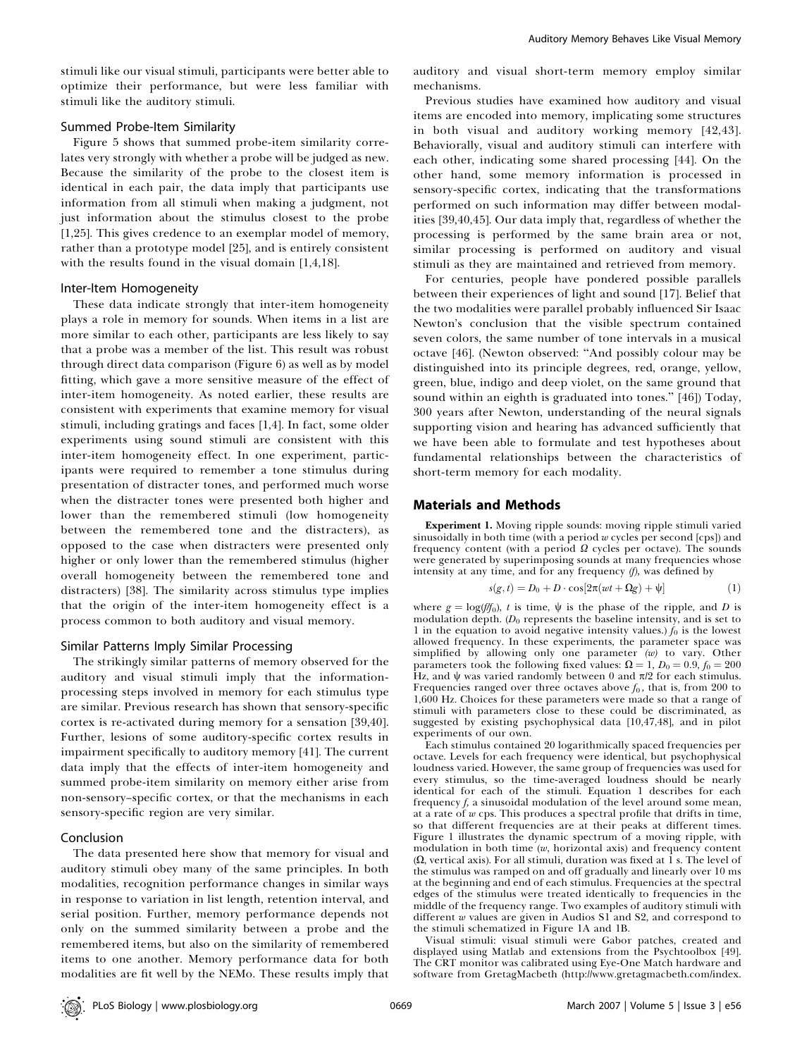stimuli like our visual stimuli, participants were better able to optimize their performance, but were less familiar with stimuli like the auditory stimuli.

## Summed Probe-Item Similarity

Figure 5 shows that summed probe-item similarity correlates very strongly with whether a probe will be judged as new. Because the similarity of the probe to the closest item is identical in each pair, the data imply that participants use information from all stimuli when making a judgment, not just information about the stimulus closest to the probe [1,25]. This gives credence to an exemplar model of memory, rather than a prototype model [25], and is entirely consistent with the results found in the visual domain [1,4,18].

#### Inter-Item Homogeneity

These data indicate strongly that inter-item homogeneity plays a role in memory for sounds. When items in a list are more similar to each other, participants are less likely to say that a probe was a member of the list. This result was robust through direct data comparison (Figure 6) as well as by model fitting, which gave a more sensitive measure of the effect of inter-item homogeneity. As noted earlier, these results are consistent with experiments that examine memory for visual stimuli, including gratings and faces [1,4]. In fact, some older experiments using sound stimuli are consistent with this inter-item homogeneity effect. In one experiment, participants were required to remember a tone stimulus during presentation of distracter tones, and performed much worse when the distracter tones were presented both higher and lower than the remembered stimuli (low homogeneity between the remembered tone and the distracters), as opposed to the case when distracters were presented only higher or only lower than the remembered stimulus (higher overall homogeneity between the remembered tone and distracters) [38]. The similarity across stimulus type implies that the origin of the inter-item homogeneity effect is a process common to both auditory and visual memory.

#### Similar Patterns Imply Similar Processing

The strikingly similar patterns of memory observed for the auditory and visual stimuli imply that the informationprocessing steps involved in memory for each stimulus type are similar. Previous research has shown that sensory-specific cortex is re-activated during memory for a sensation [39,40]. Further, lesions of some auditory-specific cortex results in impairment specifically to auditory memory [41]. The current data imply that the effects of inter-item homogeneity and summed probe-item similarity on memory either arise from non-sensory–specific cortex, or that the mechanisms in each sensory-specific region are very similar.

#### Conclusion

The data presented here show that memory for visual and auditory stimuli obey many of the same principles. In both modalities, recognition performance changes in similar ways in response to variation in list length, retention interval, and serial position. Further, memory performance depends not only on the summed similarity between a probe and the remembered items, but also on the similarity of remembered items to one another. Memory performance data for both modalities are fit well by the NEMo. These results imply that auditory and visual short-term memory employ similar mechanisms.

Previous studies have examined how auditory and visual items are encoded into memory, implicating some structures in both visual and auditory working memory [42,43]. Behaviorally, visual and auditory stimuli can interfere with each other, indicating some shared processing [44]. On the other hand, some memory information is processed in sensory-specific cortex, indicating that the transformations performed on such information may differ between modalities [39,40,45]. Our data imply that, regardless of whether the processing is performed by the same brain area or not, similar processing is performed on auditory and visual stimuli as they are maintained and retrieved from memory.

For centuries, people have pondered possible parallels between their experiences of light and sound [17]. Belief that the two modalities were parallel probably influenced Sir Isaac Newton's conclusion that the visible spectrum contained seven colors, the same number of tone intervals in a musical octave [46]. (Newton observed: ''And possibly colour may be distinguished into its principle degrees, red, orange, yellow, green, blue, indigo and deep violet, on the same ground that sound within an eighth is graduated into tones.'' [46]) Today, 300 years after Newton, understanding of the neural signals supporting vision and hearing has advanced sufficiently that we have been able to formulate and test hypotheses about fundamental relationships between the characteristics of short-term memory for each modality.

### Materials and Methods

Experiment 1. Moving ripple sounds: moving ripple stimuli varied sinusoidally in both time (with a period  $w$  cycles per second [cps]) and frequency content (with a period  $\Omega$  cycles per octave). The sounds were generated by superimposing sounds at many frequencies whose intensity at any time, and for any frequency  $(f)$ , was defined by

$$
s(g, t) = D_0 + D \cdot \cos[2\pi(wt + \Omega g) + \psi]
$$
\n(1)

where  $g = \log(f/f_0)$ , t is time,  $\psi$  is the phase of the ripple, and D is modulation depth.  $(D_0$  represents the baseline intensity, and is set to 1 in the equation to avoid negative intensity values.)  $f_0$  is the lowest allowed frequency. In these experiments, the parameter space was simplified by allowing only one parameter  $(w)$  to vary. Other parameters took the following fixed values:  $\Omega = 1$ ,  $D_0 = 0.9$ ,  $f_0 = 200$ Hz, and  $\psi$  was varied randomly between 0 and  $\pi/2$  for each stimulus. Frequencies ranged over three octaves above  $f_0$ , that is, from 200 to 1,600 Hz. Choices for these parameters were made so that a range of stimuli with parameters close to these could be discriminated, as suggested by existing psychophysical data [10,47,48], and in pilot experiments of our own.

Each stimulus contained 20 logarithmically spaced frequencies per octave. Levels for each frequency were identical, but psychophysical loudness varied. However, the same group of frequencies was used for every stimulus, so the time-averaged loudness should be nearly identical for each of the stimuli. Equation 1 describes for each frequency  $f$ , a sinusoidal modulation of the level around some mean, at a rate of  $w$  cps. This produces a spectral profile that drifts in time, so that different frequencies are at their peaks at different times. Figure 1 illustrates the dynamic spectrum of a moving ripple, with modulation in both time  $(w,$  horizontal axis) and frequency content  $(\Omega,$  vertical axis). For all stimuli, duration was fixed at 1 s. The level of the stimulus was ramped on and off gradually and linearly over 10 ms at the beginning and end of each stimulus. Frequencies at the spectral edges of the stimulus were treated identically to frequencies in the middle of the frequency range. Two examples of auditory stimuli with different w values are given in Audios S1 and S2, and correspond to the stimuli schematized in Figure 1A and 1B.

Visual stimuli: visual stimuli were Gabor patches, created and displayed using Matlab and extensions from the Psychtoolbox [49]. The CRT monitor was calibrated using Eye-One Match hardware and software from GretagMacbeth (http://www.gretagmacbeth.com/index.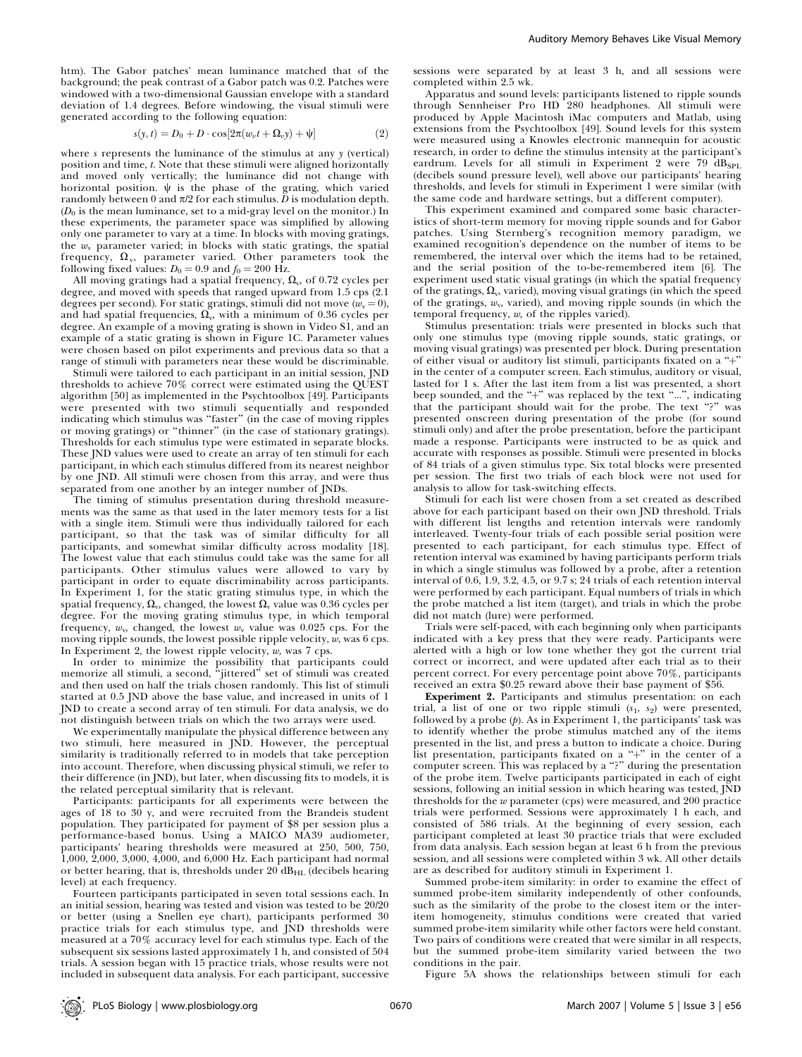htm). The Gabor patches' mean luminance matched that of the background; the peak contrast of a Gabor patch was 0.2. Patches were windowed with a two-dimensional Gaussian envelope with a standard deviation of 1.4 degrees. Before windowing, the visual stimuli were generated according to the following equation:

$$
s(y, t) = D_0 + D \cdot \cos[2\pi(w_v t + \Omega_v y) + \psi]
$$
\n(2)

where *s* represents the luminance of the stimulus at any *y* (vertical) position and time, t. Note that these stimuli were aligned horizontally and moved only vertically; the luminance did not change with horizontal position.  $\psi$  is the phase of the grating, which varied randomly between 0 and  $\pi/2$  for each stimulus. D is modulation depth.  $(D<sub>0</sub>$  is the mean luminance, set to a mid-gray level on the monitor.) In these experiments, the parameter space was simplified by allowing only one parameter to vary at a time. In blocks with moving gratings, the  $w<sub>v</sub>$  parameter varied; in blocks with static gratings, the spatial frequency,  $\Omega_v$ , parameter varied. Other parameters took the following fixed values:  $D_0 = 0.9$  and  $f_0 = 200$  Hz.

All moving gratings had a spatial frequency,  $\Omega_{\rm v}$  of 0.72 cycles per degree, and moved with speeds that ranged upward from 1.5 cps (2.1 degrees per second). For static gratings, stimuli did not move ( $w_y = 0$ ), and had spatial frequencies,  $\Omega_{\rm v}$ , with a minimum of 0.36 cycles per degree. An example of a moving grating is shown in Video S1, and an example of a static grating is shown in Figure 1C. Parameter values were chosen based on pilot experiments and previous data so that a range of stimuli with parameters near these would be discriminable.

Stimuli were tailored to each participant in an initial session, JND thresholds to achieve 70% correct were estimated using the QUEST algorithm [50] as implemented in the Psychtoolbox [49]. Participants were presented with two stimuli sequentially and responded indicating which stimulus was ''faster'' (in the case of moving ripples or moving gratings) or ''thinner'' (in the case of stationary gratings). Thresholds for each stimulus type were estimated in separate blocks. These JND values were used to create an array of ten stimuli for each participant, in which each stimulus differed from its nearest neighbor by one JND. All stimuli were chosen from this array, and were thus separated from one another by an integer number of JNDs.

The timing of stimulus presentation during threshold measurements was the same as that used in the later memory tests for a list with a single item. Stimuli were thus individually tailored for each participant, so that the task was of similar difficulty for all participants, and somewhat similar difficulty across modality [18]. The lowest value that each stimulus could take was the same for all participants. Other stimulus values were allowed to vary by participant in order to equate discriminability across participants. In Experiment 1, for the static grating stimulus type, in which the spatial frequency,  $\Omega_{\rm v}$  changed, the lowest  $\Omega_{\rm v}$  value was 0.36 cycles per degree. For the moving grating stimulus type, in which temporal frequency,  $w_v$ , changed, the lowest  $w_v$  value was 0.025 cps. For the moving ripple sounds, the lowest possible ripple velocity, w, was 6 cps. In Experiment 2, the lowest ripple velocity,  $w$ , was 7 cps.

In order to minimize the possibility that participants could memorize all stimuli, a second, ''jittered'' set of stimuli was created and then used on half the trials chosen randomly. This list of stimuli started at 0.5 JND above the base value, and increased in units of 1 JND to create a second array of ten stimuli. For data analysis, we do not distinguish between trials on which the two arrays were used.

We experimentally manipulate the physical difference between any two stimuli, here measured in JND. However, the perceptual similarity is traditionally referred to in models that take perception into account. Therefore, when discussing physical stimuli, we refer to their difference (in JND), but later, when discussing fits to models, it is the related perceptual similarity that is relevant.

Participants: participants for all experiments were between the ages of 18 to 30 y, and were recruited from the Brandeis student population. They participated for payment of \$8 per session plus a performance-based bonus. Using a MAICO MA39 audiometer, participants' hearing thresholds were measured at 250, 500, 750, 1,000, 2,000, 3,000, 4,000, and 6,000 Hz. Each participant had normal or better hearing, that is, thresholds under  $20 \text{ dB}_{HL}$  (decibels hearing level) at each frequency.

Fourteen participants participated in seven total sessions each. In an initial session, hearing was tested and vision was tested to be 20/20 or better (using a Snellen eye chart), participants performed 30 practice trials for each stimulus type, and JND thresholds were measured at a 70% accuracy level for each stimulus type. Each of the subsequent six sessions lasted approximately 1 h, and consisted of 504 trials. A session began with 15 practice trials, whose results were not included in subsequent data analysis. For each participant, successive

sessions were separated by at least 3 h, and all sessions were completed within 2.5 wk.

Apparatus and sound levels: participants listened to ripple sounds through Sennheiser Pro HD 280 headphones. All stimuli were produced by Apple Macintosh iMac computers and Matlab, using extensions from the Psychtoolbox [49]. Sound levels for this system were measured using a Knowles electronic mannequin for acoustic research, in order to define the stimulus intensity at the participant's eardrum. Levels for all stimuli in Experiment 2 were  $79 \text{ dB}_{SPL}$ (decibels sound pressure level), well above our participants' hearing thresholds, and levels for stimuli in Experiment 1 were similar (with the same code and hardware settings, but a different computer).

This experiment examined and compared some basic characteristics of short-term memory for moving ripple sounds and for Gabor patches. Using Sternberg's recognition memory paradigm, we examined recognition's dependence on the number of items to be remembered, the interval over which the items had to be retained, and the serial position of the to-be-remembered item [6]. The experiment used static visual gratings (in which the spatial frequency of the gratings,  $\Omega_v$ , varied), moving visual gratings (in which the speed of the gratings,  $w_v$ , varied), and moving ripple sounds (in which the temporal frequency, w, of the ripples varied).

Stimulus presentation: trials were presented in blocks such that only one stimulus type (moving ripple sounds, static gratings, or moving visual gratings) was presented per block. During presentation of either visual or auditory list stimuli, participants fixated on a "+' in the center of a computer screen. Each stimulus, auditory or visual, lasted for 1 s. After the last item from a list was presented, a short beep sounded, and the "+" was replaced by the text "...", indicating that the participant should wait for the probe. The text "?" was presented onscreen during presentation of the probe (for sound stimuli only) and after the probe presentation, before the participant made a response. Participants were instructed to be as quick and accurate with responses as possible. Stimuli were presented in blocks of 84 trials of a given stimulus type. Six total blocks were presented per session. The first two trials of each block were not used for analysis to allow for task-switching effects.

Stimuli for each list were chosen from a set created as described above for each participant based on their own JND threshold. Trials with different list lengths and retention intervals were randomly interleaved. Twenty-four trials of each possible serial position were presented to each participant, for each stimulus type. Effect of retention interval was examined by having participants perform trials in which a single stimulus was followed by a probe, after a retention interval of 0.6, 1.9, 3.2, 4.5, or 9.7 s; 24 trials of each retention interval were performed by each participant. Equal numbers of trials in which the probe matched a list item (target), and trials in which the probe did not match (lure) were performed.

Trials were self-paced, with each beginning only when participants indicated with a key press that they were ready. Participants were alerted with a high or low tone whether they got the current trial correct or incorrect, and were updated after each trial as to their percent correct. For every percentage point above 70%, participants received an extra \$0.25 reward above their base payment of \$56.

Experiment 2. Participants and stimulus presentation: on each trial, a list of one or two ripple stimuli  $(s_1, s_2)$  were presented, followed by a probe  $(p)$ . As in Experiment 1, the participants' task was to identify whether the probe stimulus matched any of the items presented in the list, and press a button to indicate a choice. During list presentation, participants fixated on a "+" in the center of a computer screen. This was replaced by a ''?'' during the presentation of the probe item. Twelve participants participated in each of eight sessions, following an initial session in which hearing was tested, JND thresholds for the w parameter (cps) were measured, and 200 practice trials were performed. Sessions were approximately 1 h each, and consisted of 586 trials. At the beginning of every session, each participant completed at least 30 practice trials that were excluded from data analysis. Each session began at least 6 h from the previous session, and all sessions were completed within 3 wk. All other details are as described for auditory stimuli in Experiment 1.

Summed probe-item similarity: in order to examine the effect of summed probe-item similarity independently of other confounds, such as the similarity of the probe to the closest item or the interitem homogeneity, stimulus conditions were created that varied summed probe-item similarity while other factors were held constant. Two pairs of conditions were created that were similar in all respects, but the summed probe-item similarity varied between the two conditions in the pair.

Figure 5A shows the relationships between stimuli for each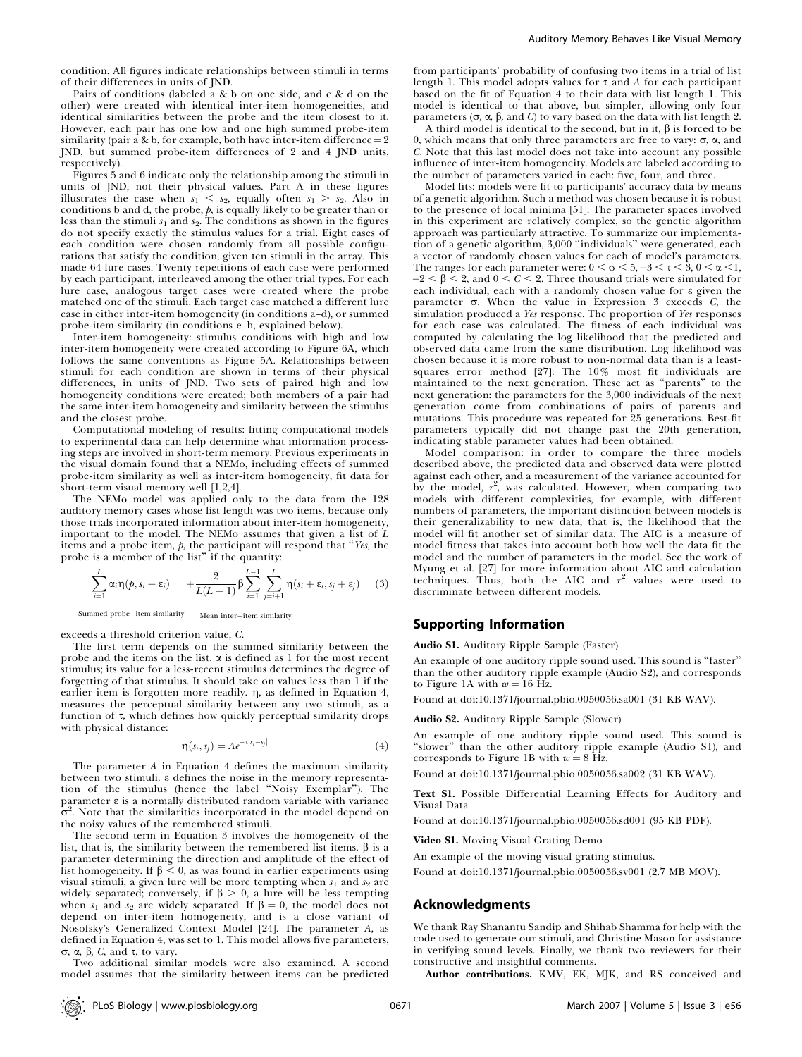condition. All figures indicate relationships between stimuli in terms of their differences in units of JND.

Pairs of conditions (labeled a & b on one side, and c & d on the other) were created with identical inter-item homogeneities, and identical similarities between the probe and the item closest to it. However, each pair has one low and one high summed probe-item similarity (pair a & b, for example, both have inter-item difference  $= 2$ JND, but summed probe-item differences of 2 and 4 JND units, respectively).

Figures 5 and 6 indicate only the relationship among the stimuli in units of JND, not their physical values. Part A in these figures illustrates the case when  $s_1 < s_2$ , equally often  $s_1 > s_2$ . Also in conditions b and d, the probe,  $p$ , is equally likely to be greater than or less than the stimuli  $s_1$  and  $s_2$ . The conditions as shown in the figures do not specify exactly the stimulus values for a trial. Eight cases of each condition were chosen randomly from all possible configurations that satisfy the condition, given ten stimuli in the array. This made 64 lure cases. Twenty repetitions of each case were performed by each participant, interleaved among the other trial types. For each lure case, analogous target cases were created where the probe matched one of the stimuli. Each target case matched a different lure case in either inter-item homogeneity (in conditions a–d), or summed probe-item similarity (in conditions e–h, explained below).

Inter-item homogeneity: stimulus conditions with high and low inter-item homogeneity were created according to Figure 6A, which follows the same conventions as Figure 5A. Relationships between stimuli for each condition are shown in terms of their physical differences, in units of JND. Two sets of paired high and low homogeneity conditions were created; both members of a pair had the same inter-item homogeneity and similarity between the stimulus and the closest probe.

Computational modeling of results: fitting computational models to experimental data can help determine what information processing steps are involved in short-term memory. Previous experiments in the visual domain found that a NEMo, including effects of summed probe-item similarity as well as inter-item homogeneity, fit data for short-term visual memory well [1,2,4].

The NEMo model was applied only to the data from the 128 auditory memory cases whose list length was two items, because only those trials incorporated information about inter-item homogeneity, important to the model. The NEMo assumes that given a list of  $L$ items and a probe item,  $p$ , the participant will respond that "Yes, the probe is a member of the list'' if the quantity:

$$
\sum_{i=1}^{L} \alpha_i \eta(p, s_i + \varepsilon_i) + \frac{2}{L(L-1)} \beta \sum_{i=1}^{L-1} \sum_{j=i+1}^{L} \eta(s_i + \varepsilon_i, s_j + \varepsilon_j)
$$
(3)

Summed probe-item similarity Mean inter-item similarity

exceeds a threshold criterion value, C.

The first term depends on the summed similarity between the probe and the items on the list.  $\alpha$  is defined as 1 for the most recent stimulus; its value for a less-recent stimulus determines the degree of forgetting of that stimulus. It should take on values less than 1 if the earlier item is forgotten more readily.  $\eta$ , as defined in Equation 4, measures the perceptual similarity between any two stimuli, as a function of  $\tau$ , which defines how quickly perceptual similarity drops with physical distance:

$$
\eta(s_i, s_j) = A e^{-\tau|s_i - s_j|} \tag{4}
$$

The parameter  $A$  in Equation 4 defines the maximum similarity between two stimuli. e defines the noise in the memory representation of the stimulus (hence the label ''Noisy Exemplar''). The parameter e is a normally distributed random variable with variance  $\sigma^2$ . Note that the similarities incorporated in the model depend on the noisy values of the remembered stimuli.

The second term in Equation 3 involves the homogeneity of the list, that is, the similarity between the remembered list items.  $\beta$  is a parameter determining the direction and amplitude of the effect of list homogeneity. If  $\beta \leq 0$ , as was found in earlier experiments using visual stimuli, a given lure will be more tempting when  $s_1$  and  $s_2$  are widely separated; conversely, if  $\beta > 0$ , a lure will be less tempting when  $s_1$  and  $s_2$  are widely separated. If  $\beta = 0$ , the model does not depend on inter-item homogeneity, and is a close variant of Nosofsky's Generalized Context Model [24]. The parameter A, as defined in Equation 4, was set to 1. This model allows five parameters,  $\sigma$ ,  $\alpha$ ,  $\beta$ ,  $C$ , and  $\tau$ , to vary.

Two additional similar models were also examined. A second model assumes that the similarity between items can be predicted

from participants' probability of confusing two items in a trial of list length 1. This model adopts values for  $\tau$  and A for each participant based on the fit of Equation 4 to their data with list length 1. This model is identical to that above, but simpler, allowing only four parameters ( $\sigma$ ,  $\alpha$ ,  $\beta$ , and C) to vary based on the data with list length 2.

A third model is identical to the second, but in it,  $\beta$  is forced to be 0, which means that only three parameters are free to vary:  $\sigma$ ,  $\alpha$ , and C. Note that this last model does not take into account any possible influence of inter-item homogeneity. Models are labeled according to the number of parameters varied in each: five, four, and three.

Model fits: models were fit to participants' accuracy data by means of a genetic algorithm. Such a method was chosen because it is robust to the presence of local minima [51]. The parameter spaces involved in this experiment are relatively complex, so the genetic algorithm approach was particularly attractive. To summarize our implementation of a genetic algorithm, 3,000 ''individuals'' were generated, each a vector of randomly chosen values for each of model's parameters. The ranges for each parameter were:  $0 < \sigma < 5, -3 < \tau < \bar{3}, 0 < \alpha < 1,$  $-2 < \beta < 2$ , and  $0 < C < 2$ . Three thousand trials were simulated for each individual, each with a randomly chosen value for e given the parameter  $\sigma$ . When the value in Expression 3 exceeds  $C$ , the simulation produced a Yes response. The proportion of Yes responses for each case was calculated. The fitness of each individual was computed by calculating the log likelihood that the predicted and observed data came from the same distribution. Log likelihood was chosen because it is more robust to non-normal data than is a leastsquares error method [27]. The 10% most fit individuals are maintained to the next generation. These act as ''parents'' to the next generation: the parameters for the 3,000 individuals of the next generation come from combinations of pairs of parents and mutations. This procedure was repeated for 25 generations. Best-fit parameters typically did not change past the 20th generation, indicating stable parameter values had been obtained.

Model comparison: in order to compare the three models described above, the predicted data and observed data were plotted against each other, and a measurement of the variance accounted for by the model,  $r^2$ , was calculated. However, when comparing two models with different complexities, for example, with different numbers of parameters, the important distinction between models is their generalizability to new data, that is, the likelihood that the model will fit another set of similar data. The AIC is a measure of model fitness that takes into account both how well the data fit the model and the number of parameters in the model. See the work of Myung et al. [27] for more information about AIC and calculation techniques. Thus, both the AIC and  $r^2$  values were used to discriminate between different models.

## Supporting Information

Audio S1. Auditory Ripple Sample (Faster)

An example of one auditory ripple sound used. This sound is ''faster'' than the other auditory ripple example (Audio S2), and corresponds to Figure 1A with  $w = 16$  Hz.

Found at doi:10.1371/journal.pbio.0050056.sa001 (31 KB WAV).

Audio S2. Auditory Ripple Sample (Slower)

An example of one auditory ripple sound used. This sound is "slower" than the other auditory ripple example (Audio S1), and corresponds to Figure 1B with  $w = 8$  Hz.

Found at doi:10.1371/journal.pbio.0050056.sa002 (31 KB WAV).

Text S1. Possible Differential Learning Effects for Auditory and Visual Data

Found at doi:10.1371/journal.pbio.0050056.sd001 (95 KB PDF).

Video S1. Moving Visual Grating Demo

An example of the moving visual grating stimulus.

Found at doi:10.1371/journal.pbio.0050056.sv001 (2.7 MB MOV).

#### Acknowledgments

We thank Ray Shanantu Sandip and Shihab Shamma for help with the code used to generate our stimuli, and Christine Mason for assistance in verifying sound levels. Finally, we thank two reviewers for their constructive and insightful comments.

Author contributions. KMV, EK, MJK, and RS conceived and